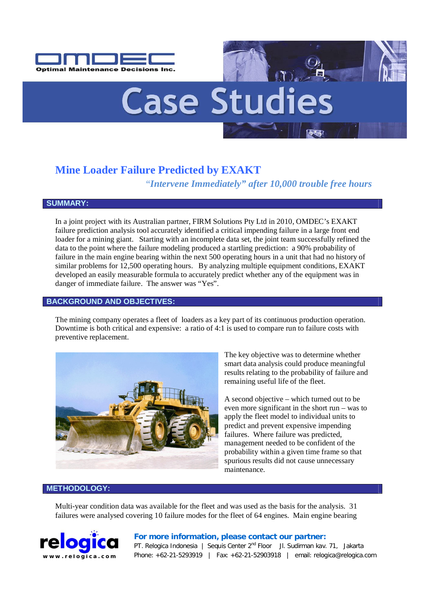



# **Mine Loader Failure Predicted by EXAKT**

*"Intervene Immediately" after 10,000 trouble free hours*

## **SUMMARY:**

In a joint project with its Australian partner, FIRM Solutions Pty Ltd in 2010, OMDEC's EXAKT failure prediction analysis tool accurately identified a critical impending failure in a large front end loader for a mining giant. Starting with an incomplete data set, the joint team successfully refined the data to the point where the failure modeling produced a startling prediction: a 90% probability of failure in the main engine bearing within the next 500 operating hours in a unit that had no history of similar problems for 12,500 operating hours. By analyzing multiple equipment conditions, EXAKT developed an easily measurable formula to accurately predict whether any of the equipment was in danger of immediate failure. The answer was "Yes".

## **BACKGROUND AND OBJECTIVES:**

The mining company operates a fleet of loaders as a key part of its continuous production operation. Downtime is both critical and expensive: a ratio of 4:1 is used to compare run to failure costs with preventive replacement.



The key objective was to determine whether smart data analysis could produce meaningful results relating to the probability of failure and remaining useful life of the fleet.

A second objective – which turned out to be even more significant in the short run – was to apply the fleet model to individual units to predict and prevent expensive impending failures. Where failure was predicted, management needed to be confident of the probability within a given time frame so that spurious results did not cause unnecessary maintenance.

# **METHODOLOGY:**

Multi-year condition data was available for the fleet and was used as the basis for the analysis. 31 failures were analysed covering 10 failure modes for the fleet of 64 engines. Main engine bearing



#### **For more information, please contact our partner:**

PT. Relogica Indonesia | Sequis Center 2<sup>nd</sup> Floor Jl. Sudirman kav. 71, Jakarta Phone: +62-21-5293919 | Fax: +62-21-52903918 | email: relogica@relogica.com